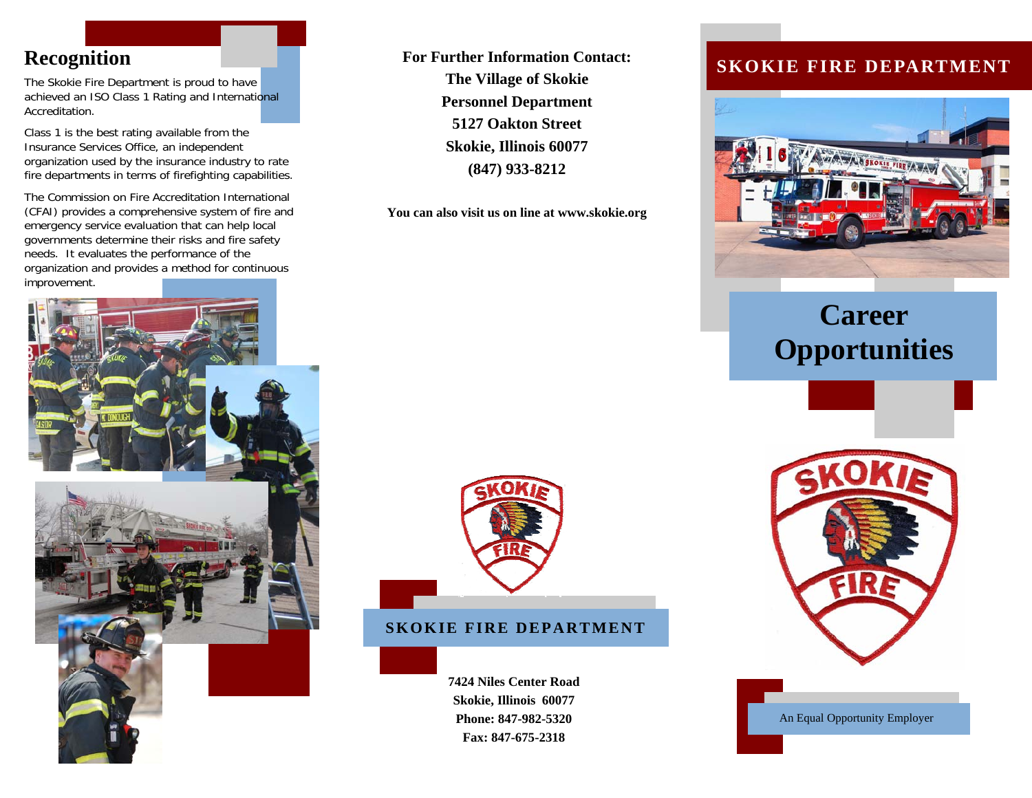The Skokie Fire Department is proud to have achieved an ISO Class 1 Rating and International Accreditation.

Class 1 is the best rating available from the Insurance Services Office, an independent organization used by the insurance industry to rate fire departments in terms of firefighting capabilities.

The Commission on Fire Accreditation International (CFAI) provides a comprehensive system of fire and emergency service evaluation that can help local governments determine their risks and fire safety needs. It evaluates the performance of the organization and provides a method for continuous improvement.



**For Further Information Contact: The Village of Skokie Personnel Department 5127 Oakton Street Skokie, Illinois 60077 (847) 933-8212** 

**You can also visit us on line at www.skokie.org**

#### **SKOKIE FIRE DEPARTMENT**

**7424 Niles Center Road Skokie, Illinois 60077 Phone: 847-982-5320 Fax: 847-675-2318** 

## **Recognition SKOKIE FIRE DEPARTMENT SKOKIE FIRE DEPARTMENT**



# **Career Opportunities**